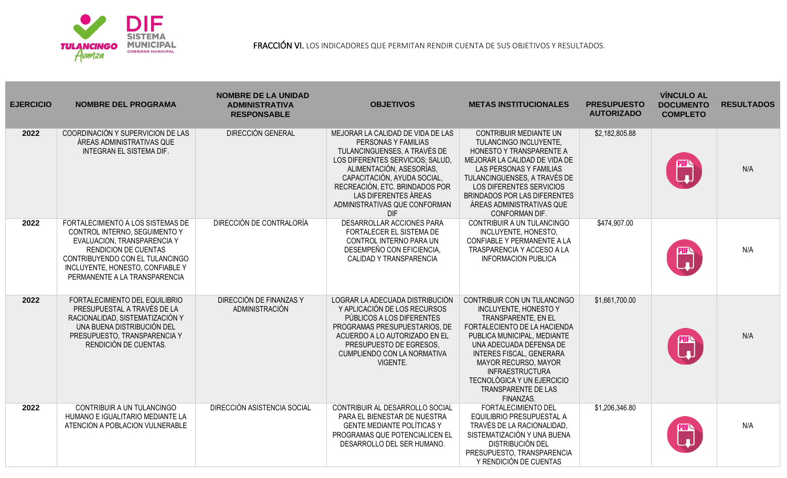

FRACCIÓN VI. LOS INDICADORES QUE PERMITAN RENDIR CUENTA DE SUS OBJETIVOS Y RESULTADOS.

| <b>EJERCICIO</b> | <b>NOMBRE DEL PROGRAMA</b>                                                                                                                                                                                                               | <b>NOMBRE DE LA UNIDAD</b><br><b>ADMINISTRATIVA</b><br><b>RESPONSABLE</b> | <b>OBJETIVOS</b>                                                                                                                                                                                                                                                                                 | <b>METAS INSTITUCIONALES</b>                                                                                                                                                                                                                                                                                                                | <b>PRESUPUESTO</b><br><b>AUTORIZADO</b> | <b>VÍNCULO AL</b><br><b>DOCUMENTO</b><br><b>COMPLETO</b> | <b>RESULTADOS</b> |
|------------------|------------------------------------------------------------------------------------------------------------------------------------------------------------------------------------------------------------------------------------------|---------------------------------------------------------------------------|--------------------------------------------------------------------------------------------------------------------------------------------------------------------------------------------------------------------------------------------------------------------------------------------------|---------------------------------------------------------------------------------------------------------------------------------------------------------------------------------------------------------------------------------------------------------------------------------------------------------------------------------------------|-----------------------------------------|----------------------------------------------------------|-------------------|
| 2022             | COORDINACIÓN Y SUPERVICION DE LAS<br>ÁREAS ADMINISTRATIVAS QUE<br><b>INTEGRAN EL SISTEMA DIF.</b>                                                                                                                                        | <b>DIRECCIÓN GENERAL</b>                                                  | MEJORAR LA CALIDAD DE VIDA DE LAS<br>PERSONAS Y FAMILIAS<br>TULANCINGUENSES, A TRAVÉS DE<br>LOS DIFERENTES SERVICIOS; SALUD,<br>ALIMENTACIÓN, ASESORÍAS,<br>CAPACITACIÓN, AYUDA SOCIAL,<br>RECREACIÓN, ETC. BRINDADOS POR<br>LAS DIFERENTES ÁREAS<br>ADMINISTRATIVAS QUE CONFORMAN<br><b>DIF</b> | <b>CONTRIBUIR MEDIANTE UN</b><br>TULANCINGO INCLUYENTE,<br>HONESTO Y TRANSPARENTE A<br>MEJORAR LA CALIDAD DE VIDA DE<br><b>LAS PERSONAS Y FAMILIAS</b><br>TULANCINGUENSES, A TRAVÉS DE<br>LOS DIFERENTES SERVICIOS<br><b>BRINDADOS POR LAS DIFERENTES</b><br>ÁREAS ADMINISTRATIVAS QUE<br>CONFORMAN DIF.                                    | \$2,182,805.88                          |                                                          | N/A               |
| 2022             | FORTALECIMIENTO A LOS SISTEMAS DE<br>CONTROL INTERNO, SEGUIMENTO Y<br>EVALUACION, TRANSPARENCIA Y<br><b>RENDICION DE CUENTAS</b><br>CONTRIBUYENDO CON EL TULANCINGO<br>INCLUYENTE, HONESTO, CONFIABLE Y<br>PERMANENTE A LA TRANSPARENCIA | DIRECCIÓN DE CONTRALORÍA                                                  | DESARROLLAR ACCIONES PARA<br>FORTALECER EL SISTEMA DE<br>CONTROL INTERNO PARA UN<br>DESEMPEÑO CON EFICIENCIA,<br>CALIDAD Y TRANSPARENCIA                                                                                                                                                         | CONTRIBUIR A UN TULANCINGO<br>INCLUYENTE, HONESTO,<br>CONFIABLE Y PERMANENTE A LA<br>TRASPARENCIA Y ACCESO A LA<br><b>INFORMACION PUBLICA</b>                                                                                                                                                                                               | \$474,907.00                            | W                                                        | N/A               |
| 2022             | FORTALECIMIENTO DEL EQUILIBRIO<br>PRESUPUESTAL A TRAVÉS DE LA<br>RACIONALIDAD, SISTEMATIZACIÓN Y<br>UNA BUENA DISTRIBUCIÓN DEL<br>PRESUPUESTO, TRANSPARENCIA Y<br>RENDICIÓN DE CUENTAS.                                                  | DIRECCIÓN DE FINANZAS Y<br>ADMINISTRACIÓN                                 | LOGRAR LA ADECUADA DISTRIBUCIÓN<br>Y APLICACIÓN DE LOS RECURSOS<br>PÚBLICOS A LOS DIFERENTES<br>PROGRAMAS PRESUPUESTARIOS, DE<br>ACUERDO A LO AUTORIZADO EN EL<br>PRESUPUESTO DE EGRESOS.<br>CUMPLIENDO CON LA NORMATIVA<br>VIGENTE.                                                             | CONTRIBUIR CON UN TULANCINGO<br><b>INCLUYENTE, HONESTO Y</b><br>TRANSPARENTE, EN EL<br>FORTALECIENTO DE LA HACIENDA<br>PUBLICA MUNICIPAL, MEDIANTE<br>UNA ADECUADA DEFENSA DE<br><b>INTERES FISCAL, GENERARA</b><br><b>MAYOR RECURSO, MAYOR</b><br><b>INFRAESTRUCTURA</b><br>TECNOLÓGICA Y UN EJERCICIO<br>TRANSPARENTE DE LAS<br>FINANZAS. | \$1,661,700.00                          | E                                                        | N/A               |
| 2022             | CONTRIBUIR A UN TULANCINGO<br>HUMANO E IGUALITARIO MEDIANTE LA<br>ATENCION A POBLACION VULNERABLE                                                                                                                                        | DIRECCIÓN ASISTENCIA SOCIAL                                               | CONTRIBUIR AL DESARROLLO SOCIAL<br>PARA EL BIENESTAR DE NUESTRA<br><b>GENTE MEDIANTE POLÍTICAS Y</b><br>PROGRAMAS QUE POTENCIALICEN EL<br>DESARROLLO DEL SER HUMANO.                                                                                                                             | <b>FORTALECIMIENTO DEL</b><br>EQUILIBRIO PRESUPUESTAL A<br>TRAVÉS DE LA RACIONALIDAD.<br>SISTEMATIZACIÓN Y UNA BUENA<br><b>DISTRIBUCIÓN DEL</b><br>PRESUPUESTO, TRANSPARENCIA<br>Y RENDICIÓN DE CUENTAS                                                                                                                                     | \$1,206,346.80                          |                                                          | N/A               |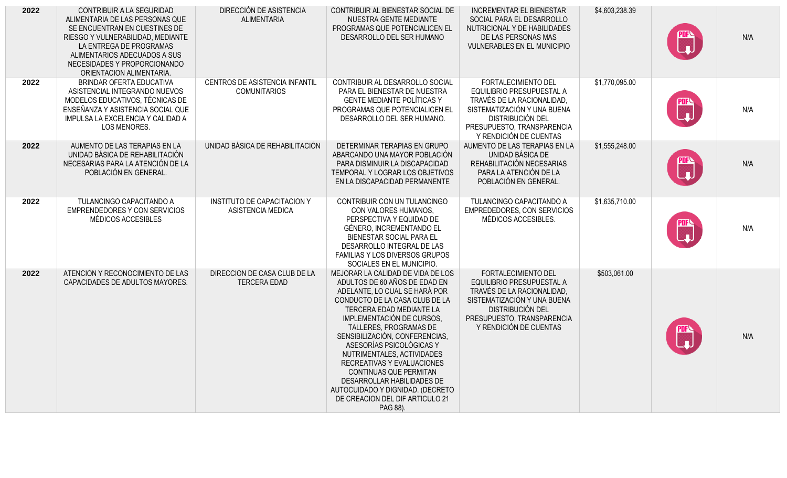| 2022 | CONTRIBUIR A LA SEGURIDAD<br>ALIMENTARIA DE LAS PERSONAS QUE<br>SE ENCUENTRAN EN CUESTINES DE<br>RIESGO Y VULNERABILIDAD, MEDIANTE<br>LA ENTREGA DE PROGRAMAS<br>ALIMENTARIOS ADECUADOS A SUS<br>NECESIDADES Y PROPORCIONANDO<br>ORIENTACION ALIMENTARIA. | DIRECCIÓN DE ASISTENCIA<br><b>ALIMENTARIA</b>           | CONTRIBUIR AL BIENESTAR SOCIAL DE<br>NUESTRA GENTE MEDIANTE<br>PROGRAMAS QUE POTENCIALICEN EL<br>DESARROLLO DEL SER HUMANO                                                                                                                                                                                                                                                                                                                                                                    | <b>INCREMENTAR EL BIENESTAR</b><br>SOCIAL PARA EL DESARROLLO<br>NUTRICIONAL Y DE HABILIDADES<br>DE LAS PERSONAS MAS<br><b>VULNERABLES EN EL MUNICIPIO</b>                                               | \$4,603,238.39 | <b>PDFN</b><br>Let <sub>a</sub>                                                                                                                                     | N/A |
|------|-----------------------------------------------------------------------------------------------------------------------------------------------------------------------------------------------------------------------------------------------------------|---------------------------------------------------------|-----------------------------------------------------------------------------------------------------------------------------------------------------------------------------------------------------------------------------------------------------------------------------------------------------------------------------------------------------------------------------------------------------------------------------------------------------------------------------------------------|---------------------------------------------------------------------------------------------------------------------------------------------------------------------------------------------------------|----------------|---------------------------------------------------------------------------------------------------------------------------------------------------------------------|-----|
| 2022 | BRINDAR OFERTA EDUCATIVA<br>ASISTENCIAL INTEGRANDO NUEVOS<br>MODELOS EDUCATIVOS, TÉCNICAS DE<br>ENSEÑANZA Y ASISTENCIA SOCIAL QUE<br>IMPULSA LA EXCELENCIA Y CALIDAD A<br>LOS MENORES.                                                                    | CENTROS DE ASISTENCIA INFANTIL<br><b>COMUNITARIOS</b>   | CONTRIBUIR AL DESARROLLO SOCIAL<br>PARA EL BIENESTAR DE NUESTRA<br><b>GENTE MEDIANTE POLÍTICAS Y</b><br>PROGRAMAS QUE POTENCIALICEN EL<br>DESARROLLO DEL SER HUMANO.                                                                                                                                                                                                                                                                                                                          | <b>FORTALECIMIENTO DEL</b><br>EQUILIBRIO PRESUPUESTAL A<br>TRAVÉS DE LA RACIONALIDAD.<br>SISTEMATIZACIÓN Y UNA BUENA<br>DISTRIBUCIÓN DEL<br>PRESUPUESTO, TRANSPARENCIA<br>Y RENDICIÓN DE CUENTAS        | \$1,770,095.00 | $\begin{bmatrix} \text{max} \ \text{min} \end{bmatrix}$                                                                                                             | N/A |
| 2022 | AUMENTO DE LAS TERAPIAS EN LA<br>UNIDAD BÁSICA DE REHABILITACIÓN<br>NECESARIAS PARA LA ATENCIÓN DE LA<br>POBLACIÓN EN GENERAL.                                                                                                                            | UNIDAD BÁSICA DE REHABILITACIÓN                         | DETERMINAR TERAPIAS EN GRUPO<br>ABARCANDO UNA MAYOR POBLACIÓN<br>PARA DISMINUIR LA DISCAPACIDAD<br>TEMPORAL Y LOGRAR LOS OBJETIVOS<br>EN LA DISCAPACIDAD PERMANENTE                                                                                                                                                                                                                                                                                                                           | AUMENTO DE LAS TERAPIAS EN LA<br>UNIDAD BÁSICA DE<br>REHABILITACIÓN NECESARIAS<br>PARA LA ATENCIÓN DE LA<br>POBLACIÓN EN GENERAL.                                                                       | \$1,555,248.00 | <u>u</u>                                                                                                                                                            | N/A |
| 2022 | TULANCINGO CAPACITANDO A<br><b>EMPRENDEDORES Y CON SERVICIOS</b><br>MÉDICOS ACCESIBLES                                                                                                                                                                    | <b>INSTITUTO DE CAPACITACION Y</b><br>ASISTENCIA MEDICA | CONTRIBUIR CON UN TULANCINGO<br>CON VALORES HUMANOS.<br>PERSPECTIVA Y EQUIDAD DE<br>GÉNERO, INCREMENTANDO EL<br>BIENESTAR SOCIAL PARA EL<br>DESARROLLO INTEGRAL DE LAS<br>FAMILIAS Y LOS DIVERSOS GRUPOS<br>SOCIALES EN EL MUNICIPIO.                                                                                                                                                                                                                                                         | TULANCINGO CAPACITANDO A<br>EMPREDEDORES, CON SERVICIOS<br>MÉDICOS ACCESIBLES.                                                                                                                          | \$1,635,710.00 | $\begin{bmatrix} \frac{\partial \mathbf{F} \cdot \mathbf{B}}{\partial \mathbf{F}} \ \frac{\partial \mathbf{F} \cdot \mathbf{B}}{\partial \mathbf{F}} \end{bmatrix}$ | N/A |
| 2022 | ATENCIÓN Y RECONOCIMIENTO DE LAS<br>CAPACIDADES DE ADULTOS MAYORES.                                                                                                                                                                                       | DIRECCION DE CASA CLUB DE LA<br><b>TERCERA EDAD</b>     | MEJORAR LA CALIDAD DE VIDA DE LOS<br>ADULTOS DE 60 AÑOS DE EDAD EN<br>ADELANTE, LO CUAL SE HARÁ POR<br>CONDUCTO DE LA CASA CLUB DE LA<br>TERCERA EDAD MEDIANTE LA<br>IMPLEMENTACIÓN DE CURSOS,<br>TALLERES, PROGRAMAS DE<br>SENSIBILIZACIÓN, CONFERENCIAS,<br>ASESORÍAS PSICOLÓGICAS Y<br>NUTRIMENTALES, ACTIVIDADES<br>RECREATIVAS Y EVALUACIONES<br>CONTINUAS QUE PERMITAN<br>DESARROLLAR HABILIDADES DE<br>AUTOCUIDADO Y DIGNIDAD. (DECRETO<br>DE CREACION DEL DIF ARTICULO 21<br>PAG 88). | <b>FORTALECIMIENTO DEL</b><br>EQUILIBRIO PRESUPUESTAL A<br>TRAVÉS DE LA RACIONALIDAD,<br>SISTEMATIZACIÓN Y UNA BUENA<br><b>DISTRIBUCIÓN DEL</b><br>PRESUPUESTO, TRANSPARENCIA<br>Y RENDICIÓN DE CUENTAS | \$503,061.00   |                                                                                                                                                                     | N/A |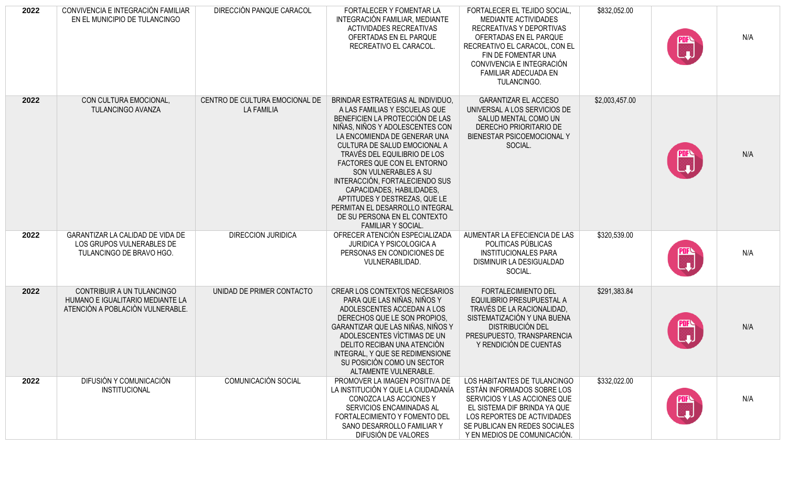| 2022 | CONVIVENCIA E INTEGRACIÓN FAMILIAR<br>EN EL MUNICIPIO DE TULANCINGO                                | DIRECCIÓN PANQUE CARACOL                            | FORTALECER Y FOMENTAR LA<br>INTEGRACIÓN FAMILIAR, MEDIANTE<br><b>ACTIVIDADES RECREATIVAS</b><br>OFERTADAS EN EL PARQUE<br>RECREATIVO EL CARACOL.                                                                                                                                                                                                                                                                                                                                         | FORTALECER EL TEJIDO SOCIAL,<br>MEDIANTE ACTIVIDADES<br>RECREATIVAS Y DEPORTIVAS<br>OFERTADAS EN EL PARQUE<br>RECREATIVO EL CARACOL, CON EL<br>FIN DE FOMENTAR UNA<br>CONVIVENCIA E INTEGRACIÓN<br>FAMILIAR ADECUADA EN<br>TULANCINGO. | \$832,052.00   | $\mathbb{C}$                                             | N/A |
|------|----------------------------------------------------------------------------------------------------|-----------------------------------------------------|------------------------------------------------------------------------------------------------------------------------------------------------------------------------------------------------------------------------------------------------------------------------------------------------------------------------------------------------------------------------------------------------------------------------------------------------------------------------------------------|----------------------------------------------------------------------------------------------------------------------------------------------------------------------------------------------------------------------------------------|----------------|----------------------------------------------------------|-----|
| 2022 | CON CULTURA EMOCIONAL,<br>TULANCINGO AVANZA                                                        | CENTRO DE CULTURA EMOCIONAL DE<br><b>LA FAMILIA</b> | BRINDAR ESTRATEGIAS AL INDIVIDUO.<br>A LAS FAMILIAS Y ESCUELAS QUE<br>BENEFICIEN LA PROTECCIÓN DE LAS<br>NIÑAS, NIÑOS Y ADOLESCENTES CON<br>LA ENCOMIENDA DE GENERAR UNA<br>CULTURA DE SALUD EMOCIONAL A<br>TRAVÉS DEL EQUILIBRIO DE LOS<br>FACTORES QUE CON EL ENTORNO<br>SON VULNERABLES A SU<br>INTERACCIÓN, FORTALECIENDO SUS<br>CAPACIDADES, HABILIDADES,<br>APTITUDES Y DESTREZAS, QUE LE<br>PERMITAN EL DESARROLLO INTEGRAL<br>DE SU PERSONA EN EL CONTEXTO<br>FAMILIAR Y SOCIAL. | <b>GARANTIZAR EL ACCESO</b><br>UNIVERSAL A LOS SERVICIOS DE<br>SALUD MENTAL COMO UN<br>DERECHO PRIORITARIO DE<br>BIENESTAR PSICOEMOCIONAL Y<br>SOCIAL.                                                                                 | \$2,003,457.00 | $\begin{matrix} \mathbb{R} \ \mathbb{L} \end{matrix}$    | N/A |
| 2022 | GARANTIZAR LA CALIDAD DE VIDA DE<br>LOS GRUPOS VULNERABLES DE<br>TULANCINGO DE BRAVO HGO.          | <b>DIRECCION JURIDICA</b>                           | OFRECER ATENCIÓN ESPECIALIZADA<br><b>JURIDICA Y PSICOLOGICA A</b><br>PERSONAS EN CONDICIONES DE<br>VULNERABILIDAD.                                                                                                                                                                                                                                                                                                                                                                       | AUMENTAR LA EFECIENCIA DE LAS<br>POLITICAS PÚBLICAS<br><b>INSTITUCIONALES PARA</b><br>DISMINUIR LA DESIGUALDAD<br>SOCIAL.                                                                                                              | \$320,539.00   | $\begin{bmatrix} \text{max} \\ \text{min} \end{bmatrix}$ | N/A |
| 2022 | CONTRIBUIR A UN TULANCINGO<br>HUMANO E IGUALITARIO MEDIANTE LA<br>ATENCIÓN A POBLACIÓN VULNERABLE. | UNIDAD DE PRIMER CONTACTO                           | CREAR LOS CONTEXTOS NECESARIOS<br>PARA QUE LAS NIÑAS, NIÑOS Y<br>ADOLESCENTES ACCEDAN A LOS<br>DERECHOS QUE LE SON PROPIOS.<br>GARANTIZAR QUE LAS NIÑAS, NIÑOS Y<br>ADOLESCENTES VICTIMAS DE UN<br>DELITO RECIBAN UNA ATENCIÓN<br>INTEGRAL, Y QUE SE REDIMENSIONE<br>SU POSICIÓN COMO UN SECTOR<br>ALTAMENTE VULNERABLE.                                                                                                                                                                 | <b>FORTALECIMIENTO DEL</b><br>EQUILIBRIO PRESUPUESTAL A<br>TRAVÉS DE LA RACIONALIDAD.<br>SISTEMATIZACIÓN Y UNA BUENA<br>DISTRIBUCIÓN DEL<br>PRESUPUESTO, TRANSPARENCIA<br>Y RENDICIÓN DE CUENTAS                                       | \$291,383.84   |                                                          | N/A |
| 2022 | DIFUSIÓN Y COMUNICACIÓN<br><b>INSTITUCIONAL</b>                                                    | COMUNICACIÓN SOCIAL                                 | PROMOVER LA IMAGEN POSITIVA DE<br>LA INSTITUCIÓN Y QUE LA CIUDADANÍA<br>CONOZCA LAS ACCIONES Y<br>SERVICIOS ENCAMINADAS AL<br>FORTALECIMIENTO Y FOMENTO DEL<br>SANO DESARROLLO FAMILIAR Y<br>DIFUSIÓN DE VALORES                                                                                                                                                                                                                                                                         | LOS HABITANTES DE TULANCINGO<br>ESTÁN INFORMADOS SOBRE LOS<br>SERVICIOS Y LAS ACCIONES QUE<br>EL SISTEMA DIF BRINDA YA QUE<br>LOS REPORTES DE ACTIVIDADES<br>SE PUBLICAN EN REDES SOCIALES<br>Y EN MEDIOS DE COMUNICACIÓN.             | \$332,022.00   | <b>PDFA</b><br>Let                                       | N/A |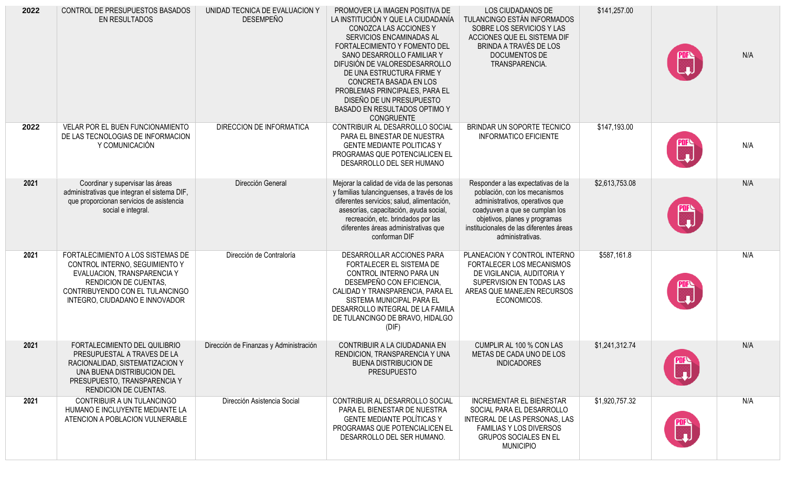| 2022 | CONTROL DE PRESUPUESTOS BASADOS<br>EN RESULTADOS                                                                                                                                                        | UNIDAD TECNICA DE EVALUACION Y<br><b>DESEMPEÑO</b> | PROMOVER LA IMAGEN POSITIVA DE<br>LA INSTITUCIÓN Y QUE LA CIUDADANÍA<br>CONOZCA LAS ACCIONES Y<br>SERVICIOS ENCAMINADAS AL<br>FORTALECIMIENTO Y FOMENTO DEL<br>SANO DESARROLLO FAMILIAR Y<br>DIFUSIÓN DE VALORESDESARROLLO<br>DE UNA ESTRUCTURA FIRME Y<br>CONCRETA BASADA EN LOS<br>PROBLEMAS PRINCIPALES, PARA EL<br>DISEÑO DE UN PRESUPUESTO<br>BASADO EN RESULTADOS OPTIMO Y<br><b>CONGRUENTE</b> | LOS CIUDADANOS DE<br>TULANCINGO ESTÁN INFORMADOS<br>SOBRE LOS SERVICIOS Y LAS<br>ACCIONES QUE EL SISTEMA DIF<br>BRINDA A TRAVÉS DE LOS<br>DOCUMENTOS DE<br>TRANSPARENCIA.                                                                | \$141,257.00   | $\begin{matrix} \mathbb{C}^n \\ \mathbb{C}^n \end{matrix}$ | N/A |
|------|---------------------------------------------------------------------------------------------------------------------------------------------------------------------------------------------------------|----------------------------------------------------|-------------------------------------------------------------------------------------------------------------------------------------------------------------------------------------------------------------------------------------------------------------------------------------------------------------------------------------------------------------------------------------------------------|------------------------------------------------------------------------------------------------------------------------------------------------------------------------------------------------------------------------------------------|----------------|------------------------------------------------------------|-----|
| 2022 | VELAR POR EL BUEN FUNCIONAMIENTO<br>DE LAS TECNOLOGIAS DE INFORMACION<br>Y COMUNICACIÓN                                                                                                                 | DIRECCION DE INFORMATICA                           | CONTRIBUIR AL DESARROLLO SOCIAL<br>PARA EL BINESTAR DE NUESTRA<br><b>GENTE MEDIANTE POLITICAS Y</b><br>PROGRAMAS QUE POTENCIALICEN EL<br>DESARROLLO DEL SER HUMANO                                                                                                                                                                                                                                    | BRINDAR UN SOPORTE TECNICO<br><b>INFORMATICO EFICIENTE</b>                                                                                                                                                                               | \$147,193.00   | ▒                                                          | N/A |
| 2021 | Coordinar y supervisar las áreas<br>administrativas que integran el sistema DIF,<br>que proporcionan servicios de asistencia<br>social e integral.                                                      | Dirección General                                  | Mejorar la calidad de vida de las personas<br>y familias tulancinguenses, a través de los<br>diferentes servicios; salud, alimentación,<br>asesorías, capacitación, ayuda social,<br>recreación, etc. brindados por las<br>diferentes áreas administrativas que<br>conforman DIF                                                                                                                      | Responder a las expectativas de la<br>población, con los mecanismos<br>administrativos, operativos que<br>coadyuven a que se cumplan los<br>objetivos, planes y programas<br>institucionales de las diferentes áreas<br>administrativas. | \$2,613,753.08 | $\begin{matrix} \mathbb{C} \ \mathbb{L} \end{matrix}$      | N/A |
| 2021 | FORTALECIMIENTO A LOS SISTEMAS DE<br>CONTROL INTERNO, SEGUIMIENTO Y<br>EVALUACION, TRANSPARENCIA Y<br><b>RENDICION DE CUENTAS,</b><br>CONTRIBUYENDO CON EL TULANCINGO<br>INTEGRO, CIUDADANO E INNOVADOR | Dirección de Contraloría                           | DESARROLLAR ACCIONES PARA<br>FORTALECER EL SISTEMA DE<br>CONTROL INTERNO PARA UN<br>DESEMPEÑO CON EFICIENCIA,<br>CALIDAD Y TRANSPARENCIA, PARA EL<br>SISTEMA MUNICIPAL PARA EL<br>DESARROLLO INTEGRAL DE LA FAMILA<br>DE TULANCINGO DE BRAVO, HIDALGO<br>(DIF)                                                                                                                                        | PLANEACION Y CONTROL INTERNO<br>FORTALECER LOS MECANISMOS<br>DE VIGILANCIA, AUDITORIA Y<br>SUPERVISION EN TODAS LAS<br>AREAS QUE MANEJEN RECURSOS<br>ECONOMICOS.                                                                         | \$587,161.8    | $\begin{bmatrix} 1 & 1 \\ 1 & 1 \end{bmatrix}$             | N/A |
| 2021 | FORTALECIMIENTO DEL QUILIBRIO<br>PRESUPUESTAL A TRAVES DE LA<br>RACIONALIDAD, SISTEMATIZACION Y<br>UNA BUENA DISTRIBUCION DEL<br>PRESUPUESTO, TRANSPARENCIA Y<br><b>RENDICION DE CUENTAS.</b>           | Dirección de Finanzas y Administración             | CONTRIBUIR A LA CIUDADANIA EN<br>RENDICION, TRANSPARENCIA Y UNA<br><b>BUENA DISTRIBUCION DE</b><br><b>PRESUPUESTO</b>                                                                                                                                                                                                                                                                                 | CUMPLIR AL 100 % CON LAS<br>METAS DE CADA UNO DE LOS<br><b>INDICADORES</b>                                                                                                                                                               | \$1,241,312.74 |                                                            | N/A |
| 2021 | CONTRIBUIR A UN TULANCINGO<br>HUMANO E INCLUYENTE MEDIANTE LA<br>ATENCION A POBLACION VULNERABLE                                                                                                        | Dirección Asistencia Social                        | CONTRIBUIR AL DESARROLLO SOCIAL<br>PARA EL BIENESTAR DE NUESTRA<br><b>GENTE MEDIANTE POLÍTICAS Y</b><br>PROGRAMAS QUE POTENCIALICEN EL<br>DESARROLLO DEL SER HUMANO.                                                                                                                                                                                                                                  | <b>INCREMENTAR EL BIENESTAR</b><br>SOCIAL PARA EL DESARROLLO<br>INTEGRAL DE LAS PERSONAS, LAS<br><b>FAMILIAS Y LOS DIVERSOS</b><br><b>GRUPOS SOCIALES EN EL</b><br><b>MUNICIPIO</b>                                                      | \$1,920,757.32 |                                                            | N/A |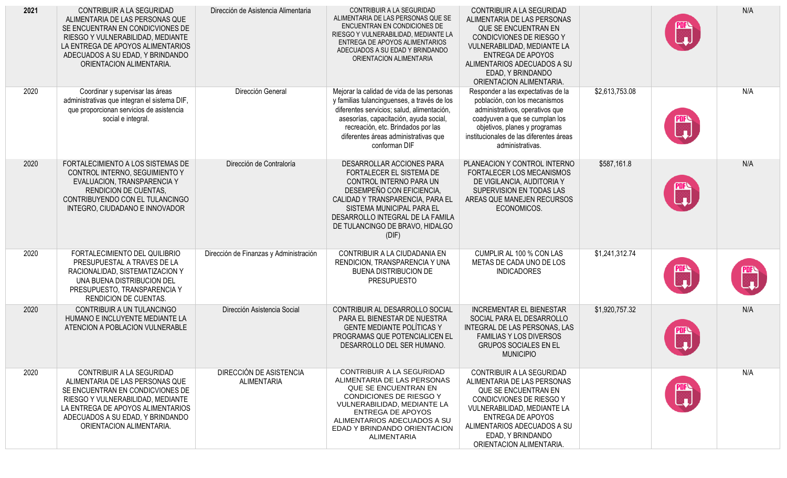| 2021 | CONTRIBUIR A LA SEGURIDAD<br>ALIMENTARIA DE LAS PERSONAS QUE<br>SE ENCUENTRAN EN CONDICVIONES DE<br>RIESGO Y VULNERABILIDAD, MEDIANTE<br>LA ENTREGA DE APOYOS ALIMENTARIOS<br>ADECUADOS A SU EDAD, Y BRINDANDO<br>ORIENTACION ALIMENTARIA. | Dirección de Asistencia Alimentaria           | CONTRIBUIR A LA SEGURIDAD<br>ALIMENTARIA DE LAS PERSONAS QUE SE<br>ENCUENTRAN EN CONDICIONES DE<br>RIESGO Y VULNERABILIDAD, MEDIANTE LA<br>ENTREGA DE APOYOS ALIMENTARIOS<br>ADECUADOS A SU EDAD Y BRINDANDO<br>ORIENTACION ALIMENTARIA                                          | <b>CONTRIBUIR A LA SEGURIDAD</b><br>ALIMENTARIA DE LAS PERSONAS<br>QUE SE ENCUENTRAN EN<br>CONDICVIONES DE RIESGO Y<br>VULNERABILIDAD, MEDIANTE LA<br><b>ENTREGA DE APOYOS</b><br>ALIMENTARIOS ADECUADOS A SU<br>EDAD, Y BRINDANDO<br>ORIENTACION ALIMENTARIA. |                | $\begin{matrix} \mathbb{C} \ \mathbb{C} \end{matrix}$ | N/A                                                     |
|------|--------------------------------------------------------------------------------------------------------------------------------------------------------------------------------------------------------------------------------------------|-----------------------------------------------|----------------------------------------------------------------------------------------------------------------------------------------------------------------------------------------------------------------------------------------------------------------------------------|----------------------------------------------------------------------------------------------------------------------------------------------------------------------------------------------------------------------------------------------------------------|----------------|-------------------------------------------------------|---------------------------------------------------------|
| 2020 | Coordinar y supervisar las áreas<br>administrativas que integran el sistema DIF,<br>que proporcionan servicios de asistencia<br>social e integral.                                                                                         | Dirección General                             | Mejorar la calidad de vida de las personas<br>y familias tulancinguenses, a través de los<br>diferentes servicios; salud, alimentación,<br>asesorías, capacitación, ayuda social,<br>recreación, etc. Brindados por las<br>diferentes áreas administrativas que<br>conforman DIF | Responder a las expectativas de la<br>población, con los mecanismos<br>administrativos, operativos que<br>coadyuven a que se cumplan los<br>objetivos, planes y programas<br>institucionales de las diferentes áreas<br>administrativas.                       | \$2,613,753.08 | ure<br>__ 1                                           | N/A                                                     |
| 2020 | FORTALECIMIENTO A LOS SISTEMAS DE<br>CONTROL INTERNO, SEGUIMIENTO Y<br>EVALUACION, TRANSPARENCIA Y<br><b>RENDICION DE CUENTAS,</b><br>CONTRIBUYENDO CON EL TULANCINGO<br>INTEGRO, CIUDADANO E INNOVADOR                                    | Dirección de Contraloría                      | DESARROLLAR ACCIONES PARA<br>FORTALECER EL SISTEMA DE<br>CONTROL INTERNO PARA UN<br>DESEMPEÑO CON EFICIENCIA,<br>CALIDAD Y TRANSPARENCIA, PARA EL<br>SISTEMA MUNICIPAL PARA EL<br>DESARROLLO INTEGRAL DE LA FAMILA<br>DE TULANCINGO DE BRAVO, HIDALGO<br>(DIF)                   | PLANEACION Y CONTROL INTERNO<br>FORTALECER LOS MECANISMOS<br>DE VIGILANCIA, AUDITORIA Y<br>SUPERVISION EN TODAS LAS<br>AREAS QUE MANEJEN RECURSOS<br>ECONOMICOS.                                                                                               | \$587,161.8    | C)                                                    | N/A                                                     |
| 2020 | FORTALECIMIENTO DEL QUILIBRIO<br>PRESUPUESTAL A TRAVES DE LA<br>RACIONALIDAD, SISTEMATIZACION Y<br>UNA BUENA DISTRIBUCION DEL<br>PRESUPUESTO, TRANSPARENCIA Y<br><b>RENDICION DE CUENTAS.</b>                                              | Dirección de Finanzas y Administración        | CONTRIBUIR A LA CIUDADANIA EN<br>RENDICION, TRANSPARENCIA Y UNA<br><b>BUENA DISTRIBUCION DE</b><br><b>PRESUPUESTO</b>                                                                                                                                                            | CUMPLIR AL 100 % CON LAS<br>METAS DE CADA UNO DE LOS<br><b>INDICADORES</b>                                                                                                                                                                                     | \$1,241,312.74 | $\begin{matrix} \mathbb{R} \ \mathbb{L} \end{matrix}$ | $\begin{bmatrix} \mathbf{m} \ \mathbf{u} \end{bmatrix}$ |
| 2020 | CONTRIBUIR A UN TULANCINGO<br>HUMANO E INCLUYENTE MEDIANTE LA<br>ATENCION A POBLACION VULNERABLE                                                                                                                                           | Dirección Asistencia Social                   | CONTRIBUIR AL DESARROLLO SOCIAL<br>PARA EL BIENESTAR DE NUESTRA<br><b>GENTE MEDIANTE POLÍTICAS Y</b><br>PROGRAMAS QUE POTENCIALICEN EL<br>DESARROLLO DEL SER HUMANO.                                                                                                             | <b>INCREMENTAR EL BIENESTAR</b><br>SOCIAL PARA EL DESARROLLO<br>INTEGRAL DE LAS PERSONAS, LAS<br><b>FAMILIAS Y LOS DIVERSOS</b><br><b>GRUPOS SOCIALES EN EL</b><br><b>MUNICIPIO</b>                                                                            | \$1,920,757.32 | ×                                                     | N/A                                                     |
| 2020 | CONTRIBUIR A LA SEGURIDAD<br>ALIMENTARIA DE LAS PERSONAS QUE<br>SE ENCUENTRAN EN CONDICVIONES DE<br>RIESGO Y VULNERABILIDAD, MEDIANTE<br>LA ENTREGA DE APOYOS ALIMENTARIOS<br>ADECUADOS A SU EDAD, Y BRINDANDO<br>ORIENTACION ALIMENTARIA. | DIRECCIÓN DE ASISTENCIA<br><b>ALIMENTARIA</b> | CONTRIBUIR A LA SEGURIDAD<br>ALIMENTARIA DE LAS PERSONAS<br><b>QUE SE ENCUENTRAN EN</b><br>CONDICIONES DE RIESGO Y<br>VULNERABILIDAD, MEDIANTE LA<br><b>ENTREGA DE APOYOS</b><br>ALIMENTARIOS ADECUADOS A SU<br>EDAD Y BRINDANDO ORIENTACION<br>ALIMENTARIA                      | CONTRIBUIR A LA SEGURIDAD<br>ALIMENTARIA DE LAS PERSONAS<br>QUE SE ENCUENTRAN EN<br>CONDICVIONES DE RIESGO Y<br>VULNERABILIDAD, MEDIANTE LA<br>ENTREGA DE APOYOS<br>ALIMENTARIOS ADECUADOS A SU<br>EDAD, Y BRINDANDO<br>ORIENTACION ALIMENTARIA.               |                | $\begin{matrix} \mathbb{R} \ \mathbb{L} \end{matrix}$ | N/A                                                     |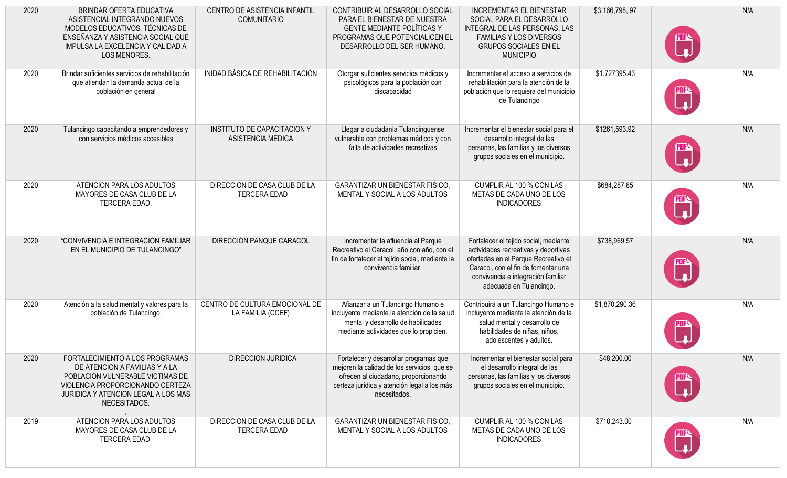| 2020 | BRINDAR OFERTA EDUCATIVA<br>ASISTENCIAL INTEGRANDO NUEVOS<br>MODELOS EDUCATIVOS, TÉCNICAS DE<br>ENSEÑANZA Y ASISTENCIA SOCIAL QUE<br>IMPULSA LA EXCELENCIA Y CALIDAD A<br>LOS MENORES.          | CENTRO DE ASISTENCIA INFANTIL<br><b>COMUNITARIO</b>     | CONTRIBUIR AL DESARROLLO SOCIAL<br>PARA EL BIENESTAR DE NUESTRA<br><b>GENTE MEDIANTE POLÍTICAS Y</b><br>PROGRAMAS QUE POTENCIALICEN EL<br>DESARROLLO DEL SER HUMANO.                        | <b>INCREMENTAR EL BIENESTAR</b><br>SOCIAL PARA EL DESARROLLO<br>INTEGRAL DE LAS PERSONAS, LAS<br><b>FAMILIAS Y LOS DIVERSOS</b><br><b>GRUPOS SOCIALES EN EL</b><br><b>MUNICIPIO</b>                                           | \$3,166,798,.97 | Ŧ  | N/A |
|------|-------------------------------------------------------------------------------------------------------------------------------------------------------------------------------------------------|---------------------------------------------------------|---------------------------------------------------------------------------------------------------------------------------------------------------------------------------------------------|-------------------------------------------------------------------------------------------------------------------------------------------------------------------------------------------------------------------------------|-----------------|----|-----|
| 2020 | Brindar suficientes servicios de rehabilitación<br>que atiendan la demanda actual de la<br>población en general                                                                                 | INIDAD BÁSICA DE REHABILITACIÓN                         | Otorgar suficientes servicios médicos y<br>psicológicos para la población con<br>discapacidad                                                                                               | Incrementar el acceso a servicios de<br>rehabilitación para la atención de la<br>población que lo requiera del municipio<br>de Tulancingo                                                                                     | \$1,727395.43   | ×  | N/A |
| 2020 | Tulancingo capacitando a emprendedores y<br>con servicios médicos accesibles                                                                                                                    | <b>INSTITUTO DE CAPACITACION Y</b><br>ASISTENCIA MEDICA | Llegar a ciudadanía Tulancinguense<br>vulnerable con problemas médicos y con<br>falta de actividades recreativas                                                                            | Incrementar el bienestar social para el<br>desarrollo integral de las<br>personas, las familias y los diversos<br>grupos sociales en el municipio.                                                                            | \$1261,593.92   | W  | N/A |
| 2020 | ATENCION PARA LOS ADULTOS<br>MAYORES DE CASA CLUB DE LA<br>TERCERA EDAD.                                                                                                                        | DIRECCION DE CASA CLUB DE LA<br><b>TERCERA EDAD</b>     | <b>GARANTIZAR UN BIENESTAR FISICO,</b><br>MENTAL Y SOCIAL A LOS ADULTOS                                                                                                                     | CUMPLIR AL 100 % CON LAS<br>METAS DE CADA UNO DE LOS<br><b>INDICADORES</b>                                                                                                                                                    | \$684,287.85    | Ŧ. | N/A |
| 2020 | "CONVIVENCIA E INTEGRACIÓN FAMILIAR<br>EN EL MUNICIPIO DE TULANCINGO"                                                                                                                           | DIRECCIÓN PANQUE CARACOL                                | Incrementar la afluencia al Parque<br>Recreativo el Caracol, año con año, con el<br>fin de fortalecer el tejido social, mediante la<br>convivencia familiar.                                | Fortalecer el tejido social, mediante<br>actividades recreativas y deportivas<br>ofertadas en el Parque Recreativo el<br>Caracol, con el fin de fomentar una<br>convivencia e integración familiar<br>adecuada en Tulancingo. | \$738,969.57    |    | N/A |
| 2020 | Atención a la salud mental y valores para la<br>población de Tulancingo.                                                                                                                        | CENTRO DE CULTURA EMOCIONAL DE<br>LA FAMILIA (CCEF)     | Afianzar a un Tulancingo Humano e<br>incluyente mediante la atención de la salud<br>mental y desarrollo de habilidades<br>mediante actividades que lo propicien.                            | Contribuirá a un Tulancingo Humano e<br>incluyente mediante la atención de la<br>salud mental y desarrollo de<br>habilidades de niñas, niños,<br>adolescentes y adultos.                                                      | \$1,870,290.36  |    | N/A |
| 2020 | FORTALECIMIENTO A LOS PROGRAMAS<br>DE ATENCION A FAMILIAS Y A LA<br>POBLACION VULNERABLE VICTIMAS DE<br>VIOLENCIA PROPORCIONANDO CERTEZA<br>JURIDICA Y ATENCION LEGAL A LOS MAS<br>NECESITADOS. | DIRECCION JURIDICA                                      | Fortalecer y desarrollar programas que<br>mejoren la calidad de los servicios que se<br>ofrecen al ciudadano, proporcionando<br>certeza jurídica y atención legal a los más<br>necesitados. | Incrementar el bienestar social para<br>el desarrollo integral de las<br>personas, las familias y los diversos<br>grupos sociales en el municipio.                                                                            | \$48,200.00     |    | N/A |
| 2019 | ATENCION PARA LOS ADULTOS<br>MAYORES DE CASA CLUB DE LA<br>TERCERA EDAD.                                                                                                                        | DIRECCION DE CASA CLUB DE LA<br><b>TERCERA EDAD</b>     | <b>GARANTIZAR UN BIENESTAR FISICO,</b><br>MENTAL Y SOCIAL A LOS ADULTOS                                                                                                                     | CUMPLIR AL 100 % CON LAS<br>METAS DE CADA UNO DE LOS<br><b>INDICADORES</b>                                                                                                                                                    | \$710,243.00    |    | N/A |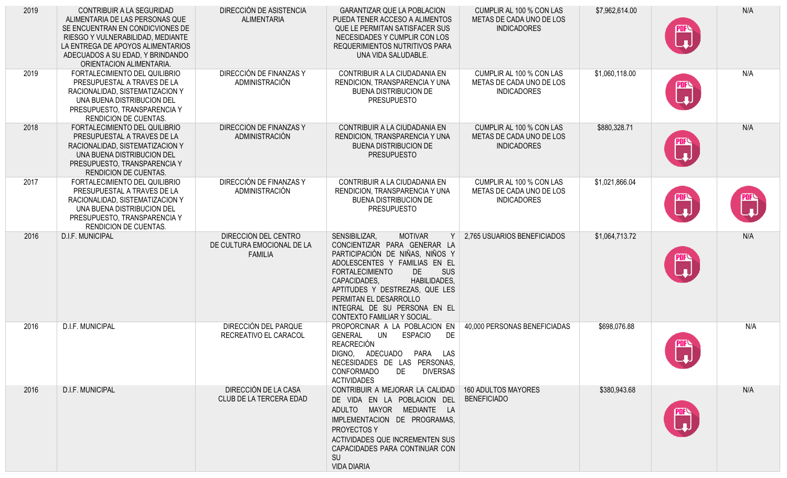| 2019 | CONTRIBUIR A LA SEGURIDAD<br>ALIMENTARIA DE LAS PERSONAS QUE<br>SE ENCUENTRAN EN CONDICVIONES DE<br>RIESGO Y VULNERABILIDAD, MEDIANTE<br>LA ENTREGA DE APOYOS ALIMENTARIOS<br>ADECUADOS A SU EDAD, Y BRINDANDO<br>ORIENTACION ALIMENTARIA. | DIRECCIÓN DE ASISTENCIA<br><b>ALIMENTARIA</b>                        | <b>GARANTIZAR QUE LA POBLACION</b><br>PUEDA TENER ACCESO A ALIMENTOS<br>QUE LE PERMITAN SATISFACER SUS<br>NECESIDADES Y CUMPLIR CON LOS<br>REQUERIMIENTOS NUTRITIVOS PARA<br>UNA VIDA SALUDABLE.                                                                                                                                                    | CUMPLIR AL 100 % CON LAS<br>METAS DE CADA UNO DE LOS<br><b>INDICADORES</b> | \$7,962,614.00 | $\mathbf{r}$                                            | N/A         |
|------|--------------------------------------------------------------------------------------------------------------------------------------------------------------------------------------------------------------------------------------------|----------------------------------------------------------------------|-----------------------------------------------------------------------------------------------------------------------------------------------------------------------------------------------------------------------------------------------------------------------------------------------------------------------------------------------------|----------------------------------------------------------------------------|----------------|---------------------------------------------------------|-------------|
| 2019 | FORTALECIMIENTO DEL QUILIBRIO<br>PRESUPUESTAL A TRAVES DE LA<br>RACIONALIDAD, SISTEMATIZACION Y<br>UNA BUENA DISTRIBUCION DEL<br>PRESUPUESTO, TRANSPARENCIA Y<br><b>RENDICION DE CUENTAS.</b>                                              | DIRECCIÓN DE FINANZAS Y<br>ADMINISTRACIÓN                            | CONTRIBUIR A LA CIUDADANIA EN<br>RENDICION, TRANSPARENCIA Y UNA<br><b>BUENA DISTRIBUCION DE</b><br><b>PRESUPUESTO</b>                                                                                                                                                                                                                               | CUMPLIR AL 100 % CON LAS<br>METAS DE CADA UNO DE LOS<br><b>INDICADORES</b> | \$1,060,118.00 | <b>PDFS</b>                                             | N/A         |
| 2018 | FORTALECIMIENTO DEL QUILIBRIO<br>PRESUPUESTAL A TRAVES DE LA<br>RACIONALIDAD, SISTEMATIZACION Y<br>UNA BUENA DISTRIBUCION DEL<br>PRESUPUESTO, TRANSPARENCIA Y<br><b>RENDICION DE CUENTAS.</b>                                              | DIRECCIÓN DE FINANZAS Y<br>ADMINISTRACIÓN                            | CONTRIBUIR A LA CIUDADANIA EN<br>RENDICION, TRANSPARENCIA Y UNA<br><b>BUENA DISTRIBUCION DE</b><br><b>PRESUPUESTO</b>                                                                                                                                                                                                                               | CUMPLIR AL 100 % CON LAS<br>METAS DE CADA UNO DE LOS<br><b>INDICADORES</b> | \$880,328.71   | PDF <sup>C</sup><br>Let <sub>a</sub>                    | N/A         |
| 2017 | FORTALECIMIENTO DEL QUILIBRIO<br>PRESUPUESTAL A TRAVES DE LA<br>RACIONALIDAD, SISTEMATIZACION Y<br>UNA BUENA DISTRIBUCION DEL<br>PRESUPUESTO, TRANSPARENCIA Y<br><b>RENDICION DE CUENTAS.</b>                                              | DIRECCIÓN DE FINANZAS Y<br>ADMINISTRACIÓN                            | CONTRIBUIR A LA CIUDADANIA EN<br>RENDICION, TRANSPARENCIA Y UNA<br><b>BUENA DISTRIBUCION DE</b><br><b>PRESUPUESTO</b>                                                                                                                                                                                                                               | CUMPLIR AL 100 % CON LAS<br>METAS DE CADA UNO DE LOS<br><b>INDICADORES</b> | \$1,021,866.04 | $\begin{bmatrix} \mathbf{m} \ \mathbf{L} \end{bmatrix}$ | ning<br>Lad |
| 2016 | D.I.F. MUNICIPAL                                                                                                                                                                                                                           | DIRECCIÓN DEL CENTRO<br>DE CULTURA EMOCIONAL DE LA<br><b>FAMILIA</b> | SENSIBILIZAR,<br><b>MOTIVAR</b><br>CONCIENTIZAR PARA GENERAR LA<br>PARTICIPACIÓN DE NIÑAS, NIÑOS Y<br>ADOLESCENTES Y FAMILIAS EN EL<br><b>FORTALECIMIENTO</b><br>DE<br><b>SUS</b><br><b>HABILIDADES,</b><br>CAPACIDADES,<br>APTITUDES Y DESTREZAS, QUE LES<br>PERMITAN EL DESARROLLO<br>INTEGRAL DE SU PERSONA EN EL<br>CONTEXTO FAMILIAR Y SOCIAL. | 2,765 USUARIOS BENEFICIADOS                                                | \$1,064,713.72 | <b>PDFN</b><br>Luu                                      | N/A         |
| 2016 | <b>D.I.F. MUNICIPAL</b>                                                                                                                                                                                                                    | DIRECCIÓN DEL PARQUE<br>RECREATIVO EL CARACOL                        | PROPORCINAR A LA POBLACION EN<br>GENERAL UN<br>ESPACIO<br>DE<br><b>REACRECIÓN</b><br>DIGNO, ADECUADO PARA LAS<br>NECESIDADES DE LAS PERSONAS,<br><b>DIVERSAS</b><br>CONFORMADO<br>DE<br><b>ACTIVIDADES</b>                                                                                                                                          | 40,000 PERSONAS BENEFICIADAS                                               | \$698,076.88   | └┻                                                      | N/A         |
| 2016 | <b>D.I.F. MUNICIPAL</b>                                                                                                                                                                                                                    | DIRECCIÓN DE LA CASA<br>CLUB DE LA TERCERA EDAD                      | CONTRIBUIR A MEJORAR LA CALIDAD   160 ADULTOS MAYORES<br>DE VIDA EN LA POBLACION DEL<br>ADULTO MAYOR MEDIANTE LA<br>IMPLEMENTACION DE PROGRAMAS,<br>PROYECTOS Y<br>ACTIVIDADES QUE INCREMENTEN SUS<br>CAPACIDADES PARA CONTINUAR CON<br><b>SU</b><br><b>VIDA DIARIA</b>                                                                             | <b>BENEFICIADO</b>                                                         | \$380,943.68   |                                                         | N/A         |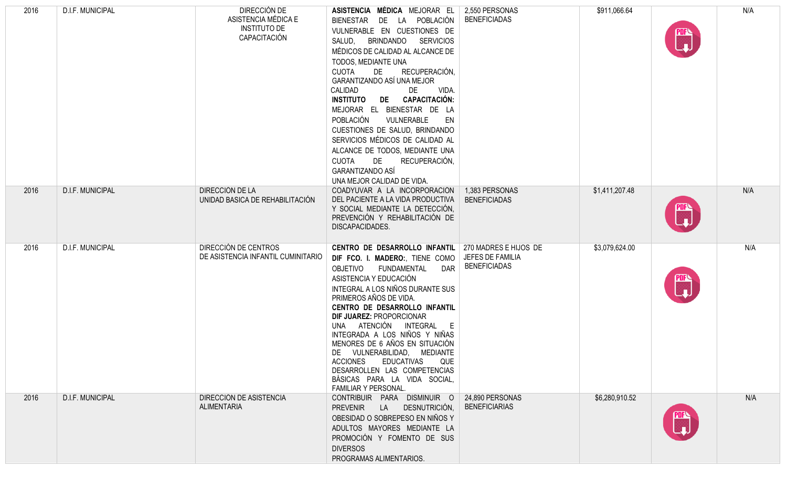| 2016 | D.I.F. MUNICIPAL | DIRECCIÓN DE<br>ASISTENCIA MÉDICA E<br><b>INSTITUTO DE</b><br>CAPACITACIÓN | ASISTENCIA MÉDICA MEJORAR EL<br>LA POBLACIÓN<br><b>BIENESTAR</b><br>DE<br>VULNERABLE EN CUESTIONES DE<br><b>BRINDANDO</b><br><b>SERVICIOS</b><br>SALUD,<br>MÉDICOS DE CALIDAD AL ALCANCE DE<br>TODOS, MEDIANTE UNA<br>RECUPERACIÓN,<br><b>CUOTA</b><br>DE<br>GARANTIZANDO ASÍ UNA MEJOR<br>CALIDAD<br>VIDA.<br>DE<br>DE CAPACITACIÓN:<br><b>INSTITUTO</b><br>MEJORAR EL BIENESTAR DE LA<br>POBLACIÓN<br>VULNERABLE<br>EN<br>CUESTIONES DE SALUD, BRINDANDO<br>SERVICIOS MÉDICOS DE CALIDAD AL<br>ALCANCE DE TODOS, MEDIANTE UNA<br>DE<br>RECUPERACIÓN,<br><b>CUOTA</b><br>GARANTIZANDO ASÍ<br>UNA MEJOR CALIDAD DE VIDA. | 2,550 PERSONAS<br><b>BENEFICIADAS</b>   | \$911,066.64   | $\begin{matrix} \mathbb{C} \ \mathbb{L} \end{matrix}$ | N/A |
|------|------------------|----------------------------------------------------------------------------|--------------------------------------------------------------------------------------------------------------------------------------------------------------------------------------------------------------------------------------------------------------------------------------------------------------------------------------------------------------------------------------------------------------------------------------------------------------------------------------------------------------------------------------------------------------------------------------------------------------------------|-----------------------------------------|----------------|-------------------------------------------------------|-----|
| 2016 | D.I.F. MUNICIPAL | DIRECCIÓN DE LA<br>UNIDAD BASICA DE REHABILITACIÓN                         | COADYUVAR A LA INCORPORACIÓN<br>DEL PACIENTE A LA VIDA PRODUCTIVA<br>Y SOCIAL MEDIANTE LA DETECCIÓN,<br>PREVENCIÓN Y REHABILITACIÓN DE<br>DISCAPACIDADES.                                                                                                                                                                                                                                                                                                                                                                                                                                                                | 1,383 PERSONAS<br><b>BENEFICIADAS</b>   | \$1,411,207.48 | nia<br>Le                                             | N/A |
| 2016 | D.I.F. MUNICIPAL | DIRECCIÓN DE CENTROS<br>DE ASISTENCIA INFANTIL CUMINITARIO                 | CENTRO DE DESARROLLO INFANTIL   270 MADRES E HIJOS DE<br>DIF FCO. I. MADERO:, TIENE COMO<br>OBJETIVO<br>FUNDAMENTAL<br><b>DAR</b><br>ASISTENCIA Y EDUCACIÓN<br>INTEGRAL A LOS NIÑOS DURANTE SUS<br>PRIMEROS AÑOS DE VIDA.<br>CENTRO DE DESARROLLO INFANTIL<br>DIF JUAREZ: PROPORCIONAR<br>UNA ATENCIÓN INTEGRAL E<br>INTEGRADA A LOS NIÑOS Y NIÑAS<br>MENORES DE 6 AÑOS EN SITUACIÓN<br>DE VULNERABILIDAD, MEDIANTE<br><b>ACCIONES</b><br>EDUCATIVAS<br>QUE<br>DESARROLLEN LAS COMPETENCIAS<br>BÁSICAS PARA LA VIDA SOCIAL,<br>FAMILIAR Y PERSONAL.                                                                      | JEFES DE FAMILIA<br><b>BENEFICIADAS</b> | \$3,079,624.00 | ™<br>_↓                                               | N/A |
| 2016 | D.I.F. MUNICIPAL | DIRECCIÓN DE ASISTENCIA<br><b>ALIMENTARIA</b>                              | CONTRIBUIR PARA DISMINUIR O<br>PREVENIR LA DESNUTRICIÓN,<br>OBESIDAD O SOBREPESO EN NIÑOS Y<br>ADULTOS MAYORES MEDIANTE LA<br>PROMOCIÓN Y FOMENTO DE SUS<br><b>DIVERSOS</b><br>PROGRAMAS ALIMENTARIOS.                                                                                                                                                                                                                                                                                                                                                                                                                   | 24,890 PERSONAS<br><b>BENEFICIARIAS</b> | \$6,280,910.52 |                                                       | N/A |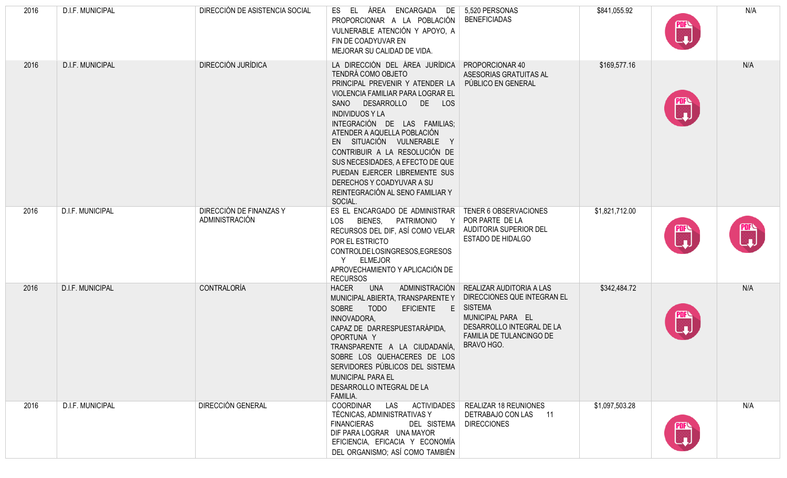| 2016 | D.I.F. MUNICIPAL        | DIRECCIÓN DE ASISTENCIA SOCIAL            | ÁREA ENCARGADA DE 5,520 PERSONAS<br>EL<br>ES<br>PROPORCIONAR A LA POBLACIÓN<br>VULNERABLE ATENCIÓN Y APOYO, A<br>FIN DE COADYUVAR EN<br>MEJORAR SU CALIDAD DE VIDA.                                                                                                                                                                                                                                                                                                   | <b>BENEFICIADAS</b>                                                                                                                                                   | \$841,055.92   | <b>PDF</b><br>لىيا                               | N/A |
|------|-------------------------|-------------------------------------------|-----------------------------------------------------------------------------------------------------------------------------------------------------------------------------------------------------------------------------------------------------------------------------------------------------------------------------------------------------------------------------------------------------------------------------------------------------------------------|-----------------------------------------------------------------------------------------------------------------------------------------------------------------------|----------------|--------------------------------------------------|-----|
| 2016 | <b>D.I.F. MUNICIPAL</b> | DIRECCIÓN JURÍDICA                        | LA DIRECCIÓN DEL ÁREA JURÍDICA<br><b>TENDRÁ COMO OBJETO</b><br>PRINCIPAL PREVENIR Y ATENDER LA<br>VIOLENCIA FAMILIAR PARA LOGRAR EL<br>SANO DESARROLLO DE LOS<br><b>INDIVIDUOS Y LA</b><br>INTEGRACIÓN DE LAS FAMILIAS;<br>ATENDER A AQUELLA POBLACIÓN<br>EN SITUACIÓN VULNERABLE Y<br>CONTRIBUIR A LA RESOLUCIÓN DE<br>SUS NECESIDADES, A EFECTO DE QUE<br>PUEDAN EJERCER LIBREMENTE SUS<br>DERECHOS Y COADYUVAR A SU<br>REINTEGRACIÓN AL SENO FAMILIAR Y<br>SOCIAL. | PROPORCIONAR 40<br>ASESORIAS GRATUITAS AL<br>PÚBLICO EN GENERAL                                                                                                       | \$169,577.16   | $\begin{pmatrix} 20 \text{F} \\ 1 \end{pmatrix}$ | N/A |
| 2016 | D.I.F. MUNICIPAL        | DIRECCIÓN DE FINANZAS Y<br>ADMINISTRACIÓN | ES EL ENCARGADO DE ADMINISTRAR<br>BIENES, PATRIMONIO<br>LOS<br>- Y<br>RECURSOS DEL DIF, ASÍ COMO VELAR<br>POR EL ESTRICTO<br>CONTROLDELOSINGRESOS, EGRESOS<br><b>ELMEJOR</b><br>APROVECHAMIENTO Y APLICACIÓN DE<br><b>RECURSOS</b>                                                                                                                                                                                                                                    | TENER 6 OBSERVACIONES<br>POR PARTE DE LA<br>AUDITORIA SUPERIOR DEL<br><b>ESTADO DE HIDALGO</b>                                                                        | \$1,821,712.00 | ₩                                                | ▒   |
| 2016 | D.I.F. MUNICIPAL        | CONTRALORÍA                               | ADMINISTRACIÓN<br><b>UNA</b><br><b>HACER</b><br>MUNICIPAL ABIERTA, TRANSPARENTE Y<br>SOBRE TODO<br>EFICIENTE E<br>INNOVADORA,<br>CAPAZ DE DARRESPUESTARÁPIDA,<br>OPORTUNA Y<br>TRANSPARENTE A LA CIUDADANÍA,<br>SOBRE LOS QUEHACERES DE LOS<br>SERVIDORES PÚBLICOS DEL SISTEMA<br>MUNICIPAL PARA EL<br>DESARROLLO INTEGRAL DE LA<br>FAMILIA.                                                                                                                          | REALIZAR AUDITORIA A LAS<br>DIRECCIONES QUE INTEGRAN EL<br><b>SISTEMA</b><br>MUNICIPAL PARA EL<br>DESARROLLO INTEGRAL DE LA<br>FAMILIA DE TULANCINGO DE<br>BRAVO HGO. | \$342,484.72   | п.                                               | N/A |
| 2016 | D.I.F. MUNICIPAL        | <b>DIRECCIÓN GENERAL</b>                  | COORDINAR<br><b>ACTIVIDADES</b><br>LAS<br>TÉCNICAS, ADMINISTRATIVAS Y<br><b>FINANCIERAS</b><br>DEL SISTEMA<br>DIF PARA LOGRAR UNA MAYOR<br>EFICIENCIA, EFICACIA Y ECONOMÍA<br>DEL ORGANISMO; ASÍ COMO TAMBIÉN                                                                                                                                                                                                                                                         | <b>REALIZAR 18 REUNIONES</b><br>DETRABAJO CON LAS 11<br><b>DIRECCIONES</b>                                                                                            | \$1,097,503.28 |                                                  | N/A |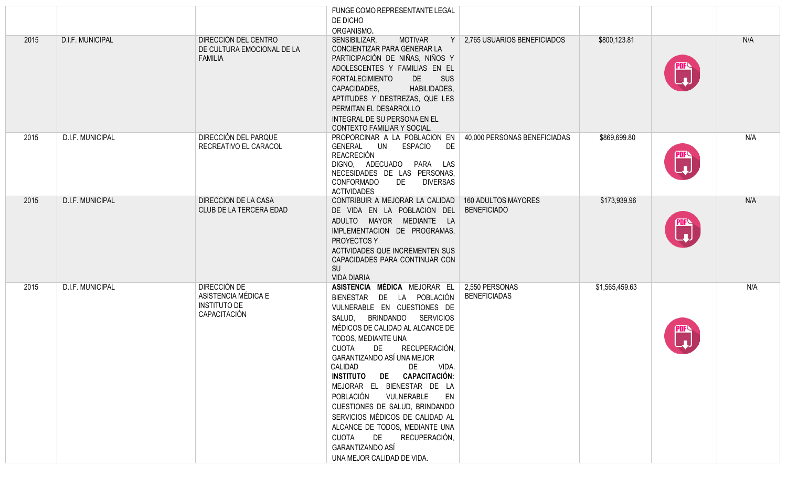|      |                  |                                                                            | FUNGE COMO REPRESENTANTE LEGAL<br>DE DICHO<br>ORGANISMO.                                                                                                                                                                                                                                                                                                                                                                                                                                                                                                                                             |                                                  |                |                           |     |
|------|------------------|----------------------------------------------------------------------------|------------------------------------------------------------------------------------------------------------------------------------------------------------------------------------------------------------------------------------------------------------------------------------------------------------------------------------------------------------------------------------------------------------------------------------------------------------------------------------------------------------------------------------------------------------------------------------------------------|--------------------------------------------------|----------------|---------------------------|-----|
| 2015 | D.I.F. MUNICIPAL | DIRECCIÓN DEL CENTRO<br>DE CULTURA EMOCIONAL DE LA<br><b>FAMILIA</b>       | SENSIBILIZAR,<br><b>MOTIVAR</b><br>CONCIENTIZAR PARA GENERAR LA<br>PARTICIPACIÓN DE NIÑAS, NIÑOS Y<br>ADOLESCENTES Y FAMILIAS EN EL<br><b>FORTALECIMIENTO</b><br>DE<br>SUS<br>CAPACIDADES,<br>HABILIDADES,<br>APTITUDES Y DESTREZAS, QUE LES<br>PERMITAN EL DESARROLLO<br>INTEGRAL DE SU PERSONA EN EL<br>CONTEXTO FAMILIAR Y SOCIAL.                                                                                                                                                                                                                                                                | $Y$   2,765 USUARIOS BENEFICIADOS                | \$800,123.81   | <b>DR</b>                 | N/A |
| 2015 | D.I.F. MUNICIPAL | DIRECCIÓN DEL PARQUE<br>RECREATIVO EL CARACOL                              | PROPORCINAR A LA POBLACION EN<br>GENERAL UN<br><b>ESPACIO</b><br>DE<br><b>REACRECIÓN</b><br>DIGNO, ADECUADO PARA LAS<br>NECESIDADES DE LAS PERSONAS,<br>CONFORMADO<br>DE<br><b>DIVERSAS</b><br><b>ACTIVIDADES</b>                                                                                                                                                                                                                                                                                                                                                                                    | 40,000 PERSONAS BENEFICIADAS                     | \$869,699.80   | nis<br>Lad                | N/A |
| 2015 | D.I.F. MUNICIPAL | DIRECCIÓN DE LA CASA<br>CLUB DE LA TERCERA EDAD                            | CONTRIBUIR A MEJORAR LA CALIDAD<br>DE VIDA EN LA POBLACION DEL<br>ADULTO MAYOR MEDIANTE LA<br>IMPLEMENTACION DE PROGRAMAS,<br>PROYECTOS Y<br>ACTIVIDADES QUE INCREMENTEN SUS<br>CAPACIDADES PARA CONTINUAR CON<br>SU<br><b>VIDA DIARIA</b>                                                                                                                                                                                                                                                                                                                                                           | <b>160 ADULTOS MAYORES</b><br><b>BENEFICIADO</b> | \$173,939.96   | PDF <sup>Q</sup><br>L_T_J | N/A |
| 2015 | D.I.F. MUNICIPAL | DIRECCIÓN DE<br>ASISTENCIA MÉDICA E<br><b>INSTITUTO DE</b><br>CAPACITACIÓN | ASISTENCIA MÉDICA MEJORAR EL<br>BIENESTAR DE LA POBLACIÓN<br>VULNERABLE EN CUESTIONES DE<br>BRINDANDO<br>SALUD,<br><b>SERVICIOS</b><br>MÉDICOS DE CALIDAD AL ALCANCE DE<br>TODOS, MEDIANTE UNA<br>RECUPERACIÓN,<br><b>CUOTA</b><br>DE<br>GARANTIZANDO ASÍ UNA MEJOR<br>CALIDAD<br>DE<br>VIDA.<br>DE CAPACITACIÓN:<br><b>INSTITUTO</b><br>MEJORAR EL BIENESTAR DE LA<br>POBLACIÓN<br>VULNERABLE<br>EN<br>CUESTIONES DE SALUD, BRINDANDO<br>SERVICIOS MÉDICOS DE CALIDAD AL<br>ALCANCE DE TODOS, MEDIANTE UNA<br>DE<br>RECUPERACIÓN,<br><b>CUOTA</b><br>GARANTIZANDO ASÍ<br>UNA MEJOR CALIDAD DE VIDA. | 2,550 PERSONAS<br><b>BENEFICIADAS</b>            | \$1,565,459.63 | m<br>Li                   | N/A |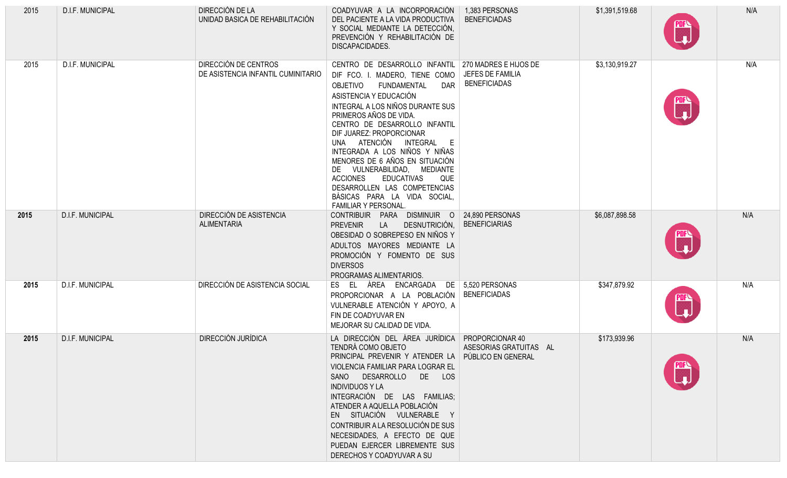| 2015 | D.I.F. MUNICIPAL        | DIRECCIÓN DE LA<br>UNIDAD BASICA DE REHABILITACIÓN         | COADYUVAR A LA INCORPORACIÓN<br>DEL PACIENTE A LA VIDA PRODUCTIVA<br>Y SOCIAL MEDIANTE LA DETECCIÓN.<br>PREVENCIÓN Y REHABILITACIÓN DE<br>DISCAPACIDADES.                                                                                                                                                                                                                                                                                                                                                                                                       | 1,383 PERSONAS<br><b>BENEFICIADAS</b>   | \$1,391,519.68 |    | N/A |
|------|-------------------------|------------------------------------------------------------|-----------------------------------------------------------------------------------------------------------------------------------------------------------------------------------------------------------------------------------------------------------------------------------------------------------------------------------------------------------------------------------------------------------------------------------------------------------------------------------------------------------------------------------------------------------------|-----------------------------------------|----------------|----|-----|
| 2015 | D.I.F. MUNICIPAL        | DIRECCIÓN DE CENTROS<br>DE ASISTENCIA INFANTIL CUMINITARIO | CENTRO DE DESARROLLO INFANTIL   270 MADRES E HIJOS DE<br>DIF FCO. I. MADERO, TIENE COMO<br>FUNDAMENTAL<br><b>DAR</b><br><b>OBJETIVO</b><br>ASISTENCIA Y EDUCACIÓN<br>INTEGRAL A LOS NIÑOS DURANTE SUS<br>PRIMEROS AÑOS DE VIDA.<br>CENTRO DE DESARROLLO INFANTIL<br>DIF JUAREZ: PROPORCIONAR<br>UNA ATENCIÓN INTEGRAL E<br>INTEGRADA A LOS NIÑOS Y NIÑAS<br>MENORES DE 6 AÑOS EN SITUACIÓN<br>DE VULNERABILIDAD, MEDIANTE<br><b>ACCIONES</b><br><b>EDUCATIVAS</b><br>QUE<br>DESARROLLEN LAS COMPETENCIAS<br>BÁSICAS PARA LA VIDA SOCIAL<br>FAMILIAR Y PERSONAL. | JEFES DE FAMILIA<br><b>BENEFICIADAS</b> | \$3,130,919.27 | n. | N/A |
| 2015 | <b>D.I.F. MUNICIPAL</b> | DIRECCIÓN DE ASISTENCIA<br><b>ALIMENTARIA</b>              | CONTRIBUIR PARA DISMINUIR O 24,890 PERSONAS<br>DESNUTRICIÓN,<br><b>PREVENIR</b><br>LA<br>OBESIDAD O SOBREPESO EN NIÑOS Y<br>ADULTOS MAYORES MEDIANTE LA<br>PROMOCIÓN Y FOMENTO DE SUS<br><b>DIVERSOS</b><br>PROGRAMAS ALIMENTARIOS.                                                                                                                                                                                                                                                                                                                             | <b>BENEFICIARIAS</b>                    | \$6,087,898.58 |    | N/A |
| 2015 | <b>D.I.F. MUNICIPAL</b> | DIRECCIÓN DE ASISTENCIA SOCIAL                             | ES EL ÁREA ENCARGADA DE 5,520 PERSONAS<br>PROPORCIONAR A LA POBLACIÓN<br>VULNERABLE ATENCIÓN Y APOYO, A<br>FIN DE COADYUVAR EN<br>MEJORAR SU CALIDAD DE VIDA.                                                                                                                                                                                                                                                                                                                                                                                                   | <b>BENEFICIADAS</b>                     | \$347,879.92   |    | N/A |
| 2015 | D.I.F. MUNICIPAL        | DIRECCIÓN JURÍDICA                                         | LA DIRECCIÓN DEL ÁREA JURÍDICA PROPORCIONAR 40<br>TENDRÁ COMO OBJETO<br>PRINCIPAL PREVENIR Y ATENDER LA PÚBLICO EN GENERAL<br>VIOLENCIA FAMILIAR PARA LOGRAR EL<br>SANO DESARROLLO DE LOS<br><b>INDIVIDUOS Y LA</b><br>INTEGRACIÓN DE LAS FAMILIAS;<br>ATENDER A AQUELLA POBLACIÓN<br>EN SITUACIÓN VULNERABLE Y<br>CONTRIBUIR A LA RESOLUCIÓN DE SUS<br>NECESIDADES, A EFECTO DE QUE<br>PUEDAN EJERCER LIBREMENTE SUS<br>DERECHOS Y COADYUVAR A SU                                                                                                              | ASESORIAS GRATUITAS AL                  | \$173,939.96   |    | N/A |